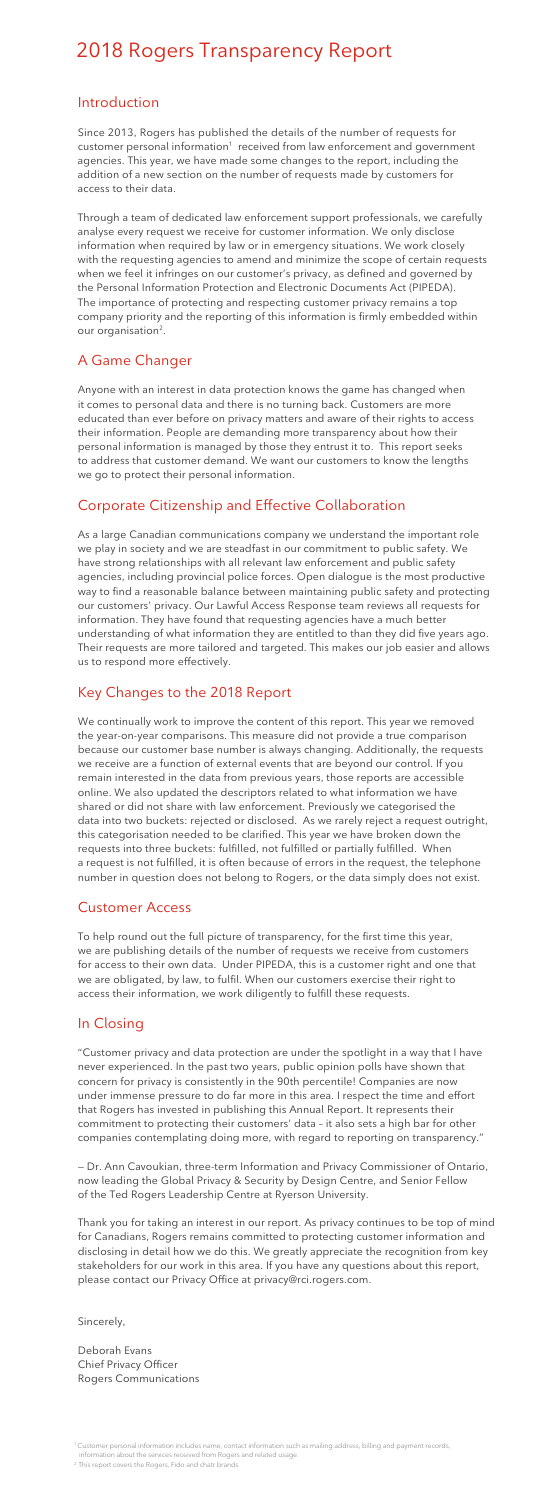# 2018 Rogers Transparency Report

#### Introduction

Through a team of dedicated law enforcement support professionals, we carefully analyse every request we receive for customer information. We only disclose information when required by law or in emergency situations. We work closely with the requesting agencies to amend and minimize the scope of certain requests when we feel it infringes on our customer's privacy, as defined and governed by the Personal Information Protection and Electronic Documents Act (PIPEDA). The importance of protecting and respecting customer privacy remains a top company priority and the reporting of this information is firmly embedded within our organisation<sup>2</sup>.

Since 2013, Rogers has published the details of the number of requests for customer personal information<sup>1</sup> received from law enforcement and government agencies. This year, we have made some changes to the report, including the addition of a new section on the number of requests made by customers for access to their data.

As a large Canadian communications company we understand the important role we play in society and we are steadfast in our commitment to public safety. We have strong relationships with all relevant law enforcement and public safety agencies, including provincial police forces. Open dialogue is the most productive way to find a reasonable balance between maintaining public safety and protecting our customers' privacy. Our Lawful Access Response team reviews all requests for information. They have found that requesting agencies have a much better understanding of what information they are entitled to than they did five years ago. Their requests are more tailored and targeted. This makes our job easier and allows us to respond more effectively.

## A Game Changer

Anyone with an interest in data protection knows the game has changed when it comes to personal data and there is no turning back. Customers are more educated than ever before on privacy matters and aware of their rights to access their information. People are demanding more transparency about how their personal information is managed by those they entrust it to. This report seeks to address that customer demand. We want our customers to know the lengths we go to protect their personal information.

## Corporate Citizenship and Effective Collaboration

Thank you for taking an interest in our report. As privacy continues to be top of mind for Canadians, Rogers remains committed to protecting customer information and disclosing in detail how we do this. We greatly appreciate the recognition from key stakeholders for our work in this area. If you have any questions about this report, please contact our Privacy Office at privacy@rci.rogers.com.

## Key Changes to the 2018 Report

We continually work to improve the content of this report. This year we removed the year-on-year comparisons. This measure did not provide a true comparison because our customer base number is always changing. Additionally, the requests we receive are a function of external events that are beyond our control. If you remain interested in the data from previous years, those reports are accessible online. We also updated the descriptors related to what information we have shared or did not share with law enforcement. Previously we categorised the data into two buckets: rejected or disclosed. As we rarely reject a request outright, this categorisation needed to be clarified. This year we have broken down the requests into three buckets: fulfilled, not fulfilled or partially fulfilled. When a request is not fulfilled, it is often because of errors in the request, the telephone number in question does not belong to Rogers, or the data simply does not exist.

#### Customer Access

To help round out the full picture of transparency, for the first time this year, we are publishing details of the number of requests we receive from customers for access to their own data. Under PIPEDA, this is a customer right and one that we are obligated, by law, to fulfil. When our customers exercise their right to access their information, we work diligently to fulfill these requests.

## In Closing

"Customer privacy and data protection are under the spotlight in a way that I have never experienced. In the past two years, public opinion polls have shown that concern for privacy is consistently in the 90th percentile! Companies are now under immense pressure to do far more in this area. I respect the time and effort that Rogers has invested in publishing this Annual Report. It represents their commitment to protecting their customers' data – it also sets a high bar for other companies contemplating doing more, with regard to reporting on transparency."

— Dr. Ann Cavoukian, three-term Information and Privacy Commissioner of Ontario, now leading the Global Privacy & Security by Design Centre, and Senior Fellow of the Ted Rogers Leadership Centre at Ryerson University.

Sincerely,

Deborah Evans Chief Privacy Officer Rogers Communications

<sup>1</sup> Customer personal information includes name, contact information such as mailing address, billing and payment records, information about the services received from Rogers and related usage.

<sup>&</sup>lt;sup>2</sup> This report covers the Rogers, Fido and chatr brands.